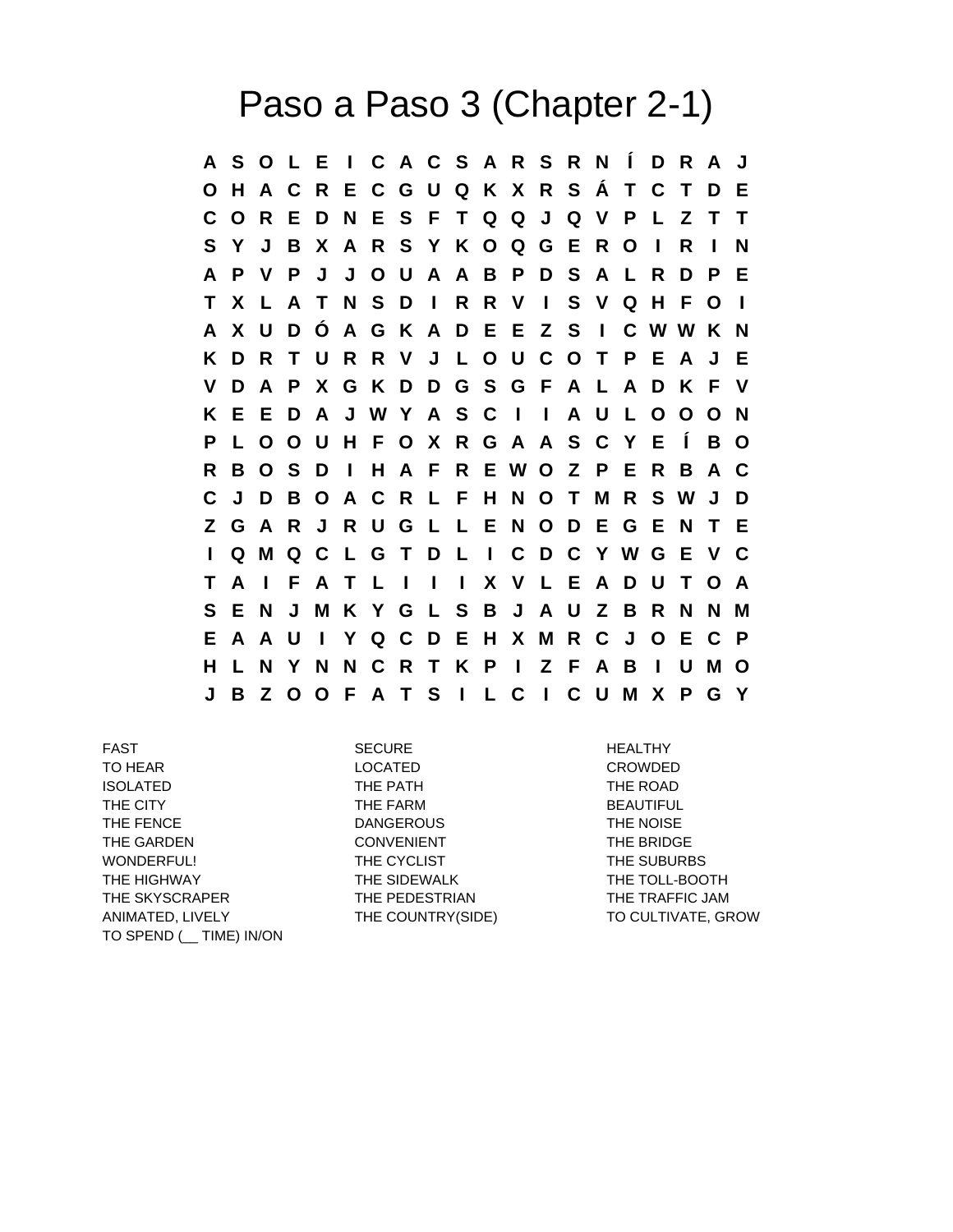## Paso a Paso 3 (Chapter 2-1)

**A S O L E I C A C S A R S R N Í D R A J O H A C R E C G U Q K X R S Á T C T D E C O R E D N E S F T Q Q J Q V P L Z T T S Y J B X A R S Y K O Q G E R O I R I N A P V P J J O U A A B P D S A L R D P E T X L A T N S D I R R V I S V Q H F O I A X U D Ó A G K A D E E Z S I C W W K N K D R T U R R V J L O U C O T P E A J E V D A P X G K D D G S G F A L A D K F V K E E D A J W Y A S C I I A U L O O O N P L O O U H F O X R G A A S C Y E Í B O R B O S D I H A F R E W O Z P E R B A C C J D B O A C R L F H N O T M R S W J D Z G A R J R U G L L E N O D E G E N T E I Q M Q C L G T D L I C D C Y W G E V C T A I F A T L I I I X V L E A D U T O A S E N J M K Y G L S B J A U Z B R N N M E A A U I Y Q C D E H X M R C J O E C P H L N Y N N C R T K P I Z F A B I U M O J B Z O O F A T S I L C I C U M X P G Y**

FAST SECURE HEALTHY TO HEAR LOCATED CROWDED ISOLATED THE PATH THE PATH THE ROAD THE CITY **THE FARM** BEAUTIFUL THE FENCE THE ROUSE THE NOISE THE NOISE THE GARDEN CONVENIENT THE BRIDGE WONDERFUL! THE CYCLIST THE SUBURBS THE HIGHWAY THE SIDEWALK THE TOLL-BOOTH THE SKYSCRAPER THE PEDESTRIAN THE TRAFFIC JAM ANIMATED, LIVELY THE COUNTRY(SIDE) TO CULTIVATE, GROW TO SPEND (\_\_ TIME) IN/ON